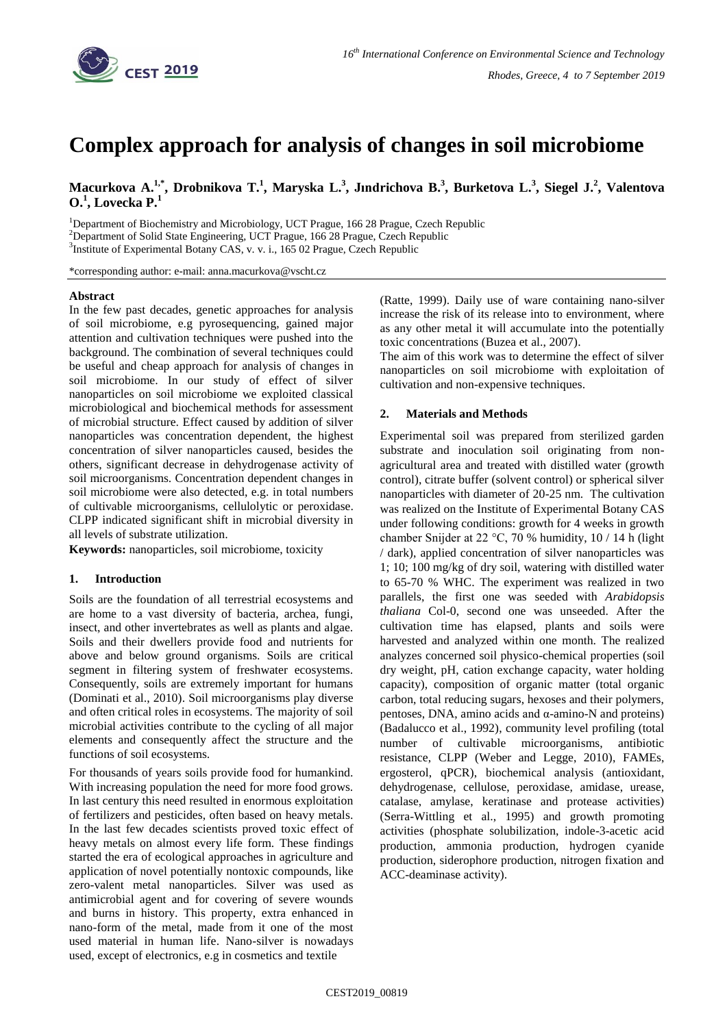

# **Complex approach for analysis of changes in soil microbiome**

Macurkova A.<sup>1,\*</sup>, Drobnikova T.<sup>1</sup>, Maryska L.<sup>3</sup>, Jındrichova B.<sup>3</sup>, Burketova L.<sup>3</sup>, Siegel J.<sup>2</sup>, Valentova **O.<sup>1</sup> , Lovecka P.<sup>1</sup>**

<sup>1</sup>Department of Biochemistry and Microbiology, UCT Prague, 166 28 Prague, Czech Republic <sup>2</sup>Department of Solid State Engineering, UCT Prague, 166 28 Prague, Czech Republic <sup>3</sup>Institute of Experimental Botany CAS, v. v. i., 165 02 Prague, Czech Republic

\*corresponding author: e-mail: anna.macurkova@vscht.cz

## **Abstract**

In the few past decades, genetic approaches for analysis of soil microbiome, e.g pyrosequencing, gained major attention and cultivation techniques were pushed into the background. The combination of several techniques could be useful and cheap approach for analysis of changes in soil microbiome. In our study of effect of silver nanoparticles on soil microbiome we exploited classical microbiological and biochemical methods for assessment of microbial structure. Effect caused by addition of silver nanoparticles was concentration dependent, the highest concentration of silver nanoparticles caused, besides the others, significant decrease in dehydrogenase activity of soil microorganisms. Concentration dependent changes in soil microbiome were also detected, e.g. in total numbers of cultivable microorganisms, cellulolytic or peroxidase. CLPP indicated significant shift in microbial diversity in all levels of substrate utilization.

**Keywords:** nanoparticles, soil microbiome, toxicity

# **1. Introduction**

Soils are the foundation of all terrestrial ecosystems and are home to a vast diversity of bacteria, archea, fungi, insect, and other invertebrates as well as plants and algae. Soils and their dwellers provide food and nutrients for above and below ground organisms. Soils are critical segment in filtering system of freshwater ecosystems. Consequently, soils are extremely important for humans (Dominati et al., 2010). Soil microorganisms play diverse and often critical roles in ecosystems. The majority of soil microbial activities contribute to the cycling of all major elements and consequently affect the structure and the functions of soil ecosystems.

For thousands of years soils provide food for humankind. With increasing population the need for more food grows. In last century this need resulted in enormous exploitation of fertilizers and pesticides, often based on heavy metals. In the last few decades scientists proved toxic effect of heavy metals on almost every life form. These findings started the era of ecological approaches in agriculture and application of novel potentially nontoxic compounds, like zero-valent metal nanoparticles. Silver was used as antimicrobial agent and for covering of severe wounds and burns in history. This property, extra enhanced in nano-form of the metal, made from it one of the most used material in human life. Nano-silver is nowadays used, except of electronics, e.g in cosmetics and textile

(Ratte, 1999). Daily use of ware containing nano-silver increase the risk of its release into to environment, where as any other metal it will accumulate into the potentially toxic concentrations (Buzea et al., 2007).

The aim of this work was to determine the effect of silver nanoparticles on soil microbiome with exploitation of cultivation and non-expensive techniques.

# **2. Materials and Methods**

Experimental soil was prepared from sterilized garden substrate and inoculation soil originating from nonagricultural area and treated with distilled water (growth control), citrate buffer (solvent control) or spherical silver nanoparticles with diameter of 20-25 nm. The cultivation was realized on the Institute of Experimental Botany CAS under following conditions: growth for 4 weeks in growth chamber Snijder at 22 °C, 70 % humidity, 10 / 14 h (light / dark), applied concentration of silver nanoparticles was 1; 10; 100 mg/kg of dry soil, watering with distilled water to 65-70 % WHC. The experiment was realized in two parallels, the first one was seeded with *Arabidopsis thaliana* Col-0, second one was unseeded. After the cultivation time has elapsed, plants and soils were harvested and analyzed within one month. The realized analyzes concerned soil physico-chemical properties (soil dry weight, pH, cation exchange capacity, water holding capacity), composition of organic matter (total organic carbon, total reducing sugars, hexoses and their polymers, pentoses, DNA, amino acids and α-amino-N and proteins) (Badalucco et al., 1992), community level profiling (total number of cultivable microorganisms, antibiotic resistance, CLPP (Weber and Legge, 2010), FAMEs, ergosterol, qPCR), biochemical analysis (antioxidant, dehydrogenase, cellulose, peroxidase, amidase, urease, catalase, amylase, keratinase and protease activities) (Serra-Wittling et al., 1995) and growth promoting activities (phosphate solubilization, indole-3-acetic acid production, ammonia production, hydrogen cyanide production, siderophore production, nitrogen fixation and ACC-deaminase activity).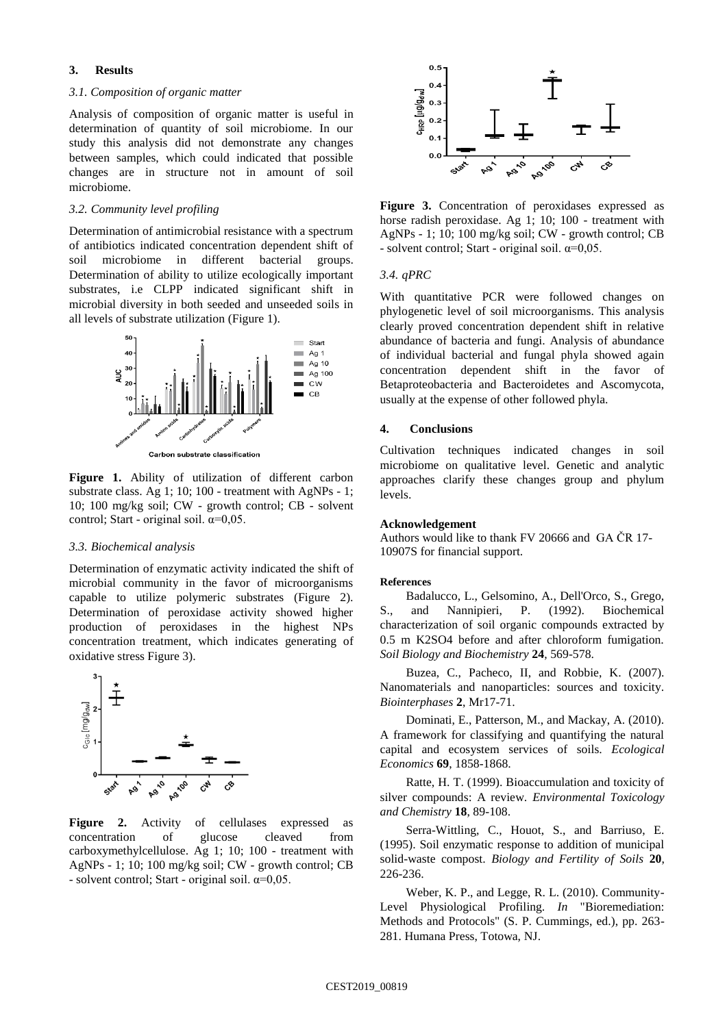# **3. Results**

# *3.1. Composition of organic matter*

Analysis of composition of organic matter is useful in determination of quantity of soil microbiome. In our study this analysis did not demonstrate any changes between samples, which could indicated that possible changes are in structure not in amount of soil microbiome.

# *3.2. Community level profiling*

Determination of antimicrobial resistance with a spectrum of antibiotics indicated concentration dependent shift of soil microbiome in different bacterial groups. Determination of ability to utilize ecologically important substrates, i.e CLPP indicated significant shift in microbial diversity in both seeded and unseeded soils in all levels of substrate utilization (Figure 1).



**Figure 1.** Ability of utilization of different carbon substrate class. Ag 1; 10; 100 - treatment with AgNPs - 1; 10; 100 mg/kg soil; CW - growth control; CB - solvent control; Start - original soil.  $\alpha=0.05$ .

#### *3.3. Biochemical analysis*

Determination of enzymatic activity indicated the shift of microbial community in the favor of microorganisms capable to utilize polymeric substrates (Figure 2). Determination of peroxidase activity showed higher production of peroxidases in the highest NPs concentration treatment, which indicates generating of oxidative stress Figure 3).



**Figure 2.** Activity of cellulases expressed as concentration of glucose cleaved from carboxymethylcellulose. Ag 1; 10; 100 - treatment with AgNPs - 1; 10; 100 mg/kg soil; CW - growth control; CB - solvent control; Start - original soil.  $\alpha = 0.05$ .



**Figure 3.** Concentration of peroxidases expressed as horse radish peroxidase. Ag 1; 10; 100 - treatment with AgNPs - 1; 10; 100 mg/kg soil; CW - growth control; CB - solvent control; Start - original soil.  $\alpha = 0.05$ .

## *3.4. qPRC*

With quantitative PCR were followed changes on phylogenetic level of soil microorganisms. This analysis clearly proved concentration dependent shift in relative abundance of bacteria and fungi. Analysis of abundance of individual bacterial and fungal phyla showed again concentration dependent shift in the favor of Betaproteobacteria and Bacteroidetes and Ascomycota, usually at the expense of other followed phyla.

# **4. Conclusions**

Cultivation techniques indicated changes in soil microbiome on qualitative level. Genetic and analytic approaches clarify these changes group and phylum levels.

# **Acknowledgement**

Authors would like to thank FV 20666 and GA ČR 17- 10907S for financial support.

## **References**

Badalucco, L., Gelsomino, A., Dell'Orco, S., Grego, S., and Nannipieri, P. (1992). Biochemical characterization of soil organic compounds extracted by 0.5 m K2SO4 before and after chloroform fumigation. *Soil Biology and Biochemistry* **24**, 569-578.

Buzea, C., Pacheco, II, and Robbie, K. (2007). Nanomaterials and nanoparticles: sources and toxicity. *Biointerphases* **2**, Mr17-71.

Dominati, E., Patterson, M., and Mackay, A. (2010). A framework for classifying and quantifying the natural capital and ecosystem services of soils. *Ecological Economics* **69**, 1858-1868.

Ratte, H. T. (1999). Bioaccumulation and toxicity of silver compounds: A review. *Environmental Toxicology and Chemistry* **18**, 89-108.

Serra-Wittling, C., Houot, S., and Barriuso, E. (1995). Soil enzymatic response to addition of municipal solid-waste compost. *Biology and Fertility of Soils* **20**, 226-236.

Weber, K. P., and Legge, R. L. (2010). Community-Level Physiological Profiling. *In* "Bioremediation: Methods and Protocols" (S. P. Cummings, ed.), pp. 263- 281. Humana Press, Totowa, NJ.